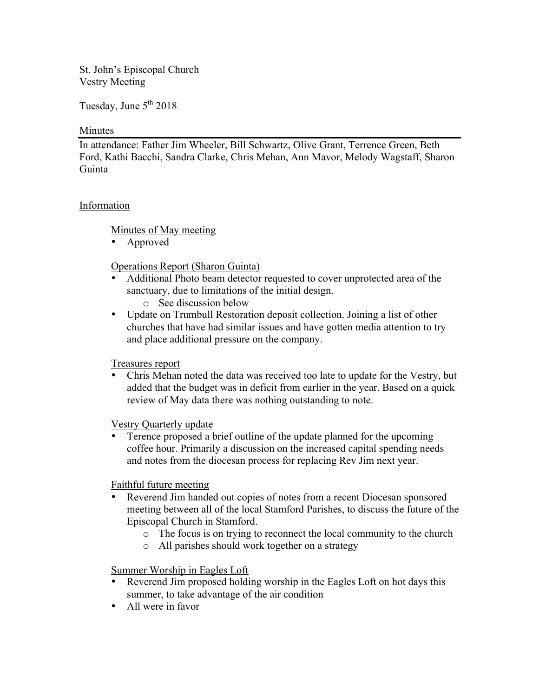St. John's Episcopal Church Vestry Meeting

Tuesday, June  $5<sup>th</sup> 2018$ 

#### Minutes

In attendance: Father Jim Wheeler, Bill Schwartz, Olive Grant, Terrence Green, Beth Ford, Kathi Bacchi, Sandra Clarke, Chris Mehan, Ann Mavor, Melody Wagstaff, Sharon Guinta

### Information

Minutes of May meeting

• Approved

Operations Report (Sharon Guinta)

- Additional Photo beam detector requested to cover unprotected area of the sanctuary, due to limitations of the initial design.
	- o See discussion below
- Update on Trumbull Restoration deposit collection. Joining a list of other churches that have had similar issues and have gotten media attention to try and place additional pressure on the company.

### Treasures report

• Chris Mehan noted the data was received too late to update for the Vestry, but added that the budget was in deficit from earlier in the year. Based on a quick review of May data there was nothing outstanding to note.

Vestry Quarterly update

• Terence proposed a brief outline of the update planned for the upcoming coffee hour. Primarily a discussion on the increased capital spending needs and notes from the diocesan process for replacing Rev Jim next year.

Faithful future meeting

- Reverend Jim handed out copies of notes from a recent Diocesan sponsored meeting between all of the local Stamford Parishes, to discuss the future of the Episcopal Church in Stamford.
	- o The focus is on trying to reconnect the local community to the church
	- o All parishes should work together on a strategy

Summer Worship in Eagles Loft

- Reverend Jim proposed holding worship in the Eagles Loft on hot days this summer, to take advantage of the air condition
- All were in favor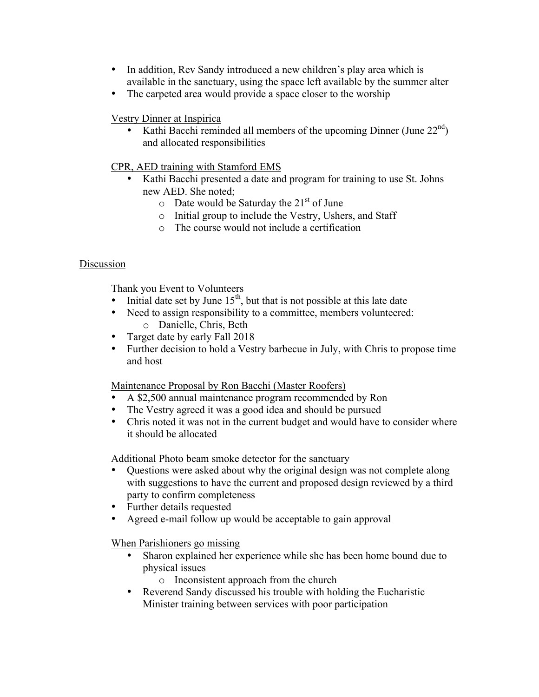- In addition, Rev Sandy introduced a new children's play area which is available in the sanctuary, using the space left available by the summer alter
- The carpeted area would provide a space closer to the worship

Vestry Dinner at Inspirica

Kathi Bacchi reminded all members of the upcoming Dinner (June  $22<sup>nd</sup>$ ) and allocated responsibilities

CPR, AED training with Stamford EMS

- Kathi Bacchi presented a date and program for training to use St. Johns new AED. She noted;
	- $\circ$  Date would be Saturday the 21<sup>st</sup> of June
	- o Initial group to include the Vestry, Ushers, and Staff
	- o The course would not include a certification

# Discussion

Thank you Event to Volunteers

- Initial date set by June  $15<sup>th</sup>$ , but that is not possible at this late date
- Need to assign responsibility to a committee, members volunteered:
	- o Danielle, Chris, Beth
- Target date by early Fall 2018
- Further decision to hold a Vestry barbecue in July, with Chris to propose time and host

Maintenance Proposal by Ron Bacchi (Master Roofers)

- A \$2,500 annual maintenance program recommended by Ron
- The Vestry agreed it was a good idea and should be pursued
- Chris noted it was not in the current budget and would have to consider where it should be allocated

Additional Photo beam smoke detector for the sanctuary

- Questions were asked about why the original design was not complete along with suggestions to have the current and proposed design reviewed by a third party to confirm completeness
- Further details requested
- Agreed e-mail follow up would be acceptable to gain approval

When Parishioners go missing

- Sharon explained her experience while she has been home bound due to physical issues
	- o Inconsistent approach from the church
- Reverend Sandy discussed his trouble with holding the Eucharistic Minister training between services with poor participation